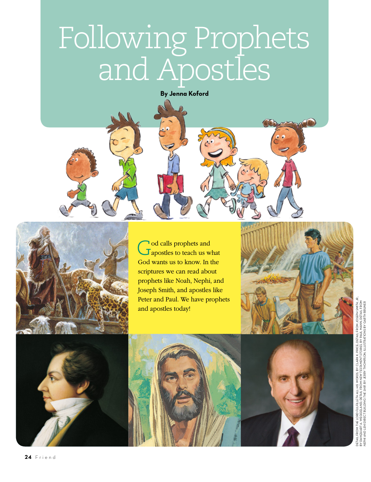## Following Prophets and Apostles

**By Jenna Koford**





God calls prophets and apostles to teach us what God wants us to know. In the scriptures we can read about prophets like Noah, Nephi, and Joseph Smith, and apostles like Peter and Paul. We have prophets and apostles today!